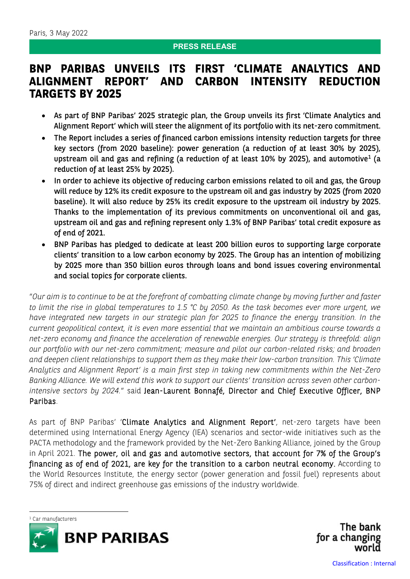#### **PRESS RELEASE**

# **BNP PARIBAS UNVEILS ITS FIRST 'CLIMATE ANALYTICS AND ALIGNMENT REPORT' AND CARBON INTENSITY REDUCTION TARGETS BY 2025**

- As part of BNP Paribas' 2025 strategic plan, the Group unveils its first 'Climate Analytics and Alignment Report' which will steer the alignment of its portfolio with its net-zero commitment.
- The Report includes a series of financed carbon emissions intensity reduction targets for three key sectors (from 2020 baseline): power generation (a reduction of at least 30% by 2025), upstream oil and gas and refining (a reduction of at least  $10\%$  $10\%$  by 2025), and automotive<sup>1</sup> (a reduction of at least 25% by 2025).
- In order to achieve its objective of reducing carbon emissions related to oil and gas, the Group will reduce by 12% its credit exposure to the upstream oil and gas industry by 2025 (from 2020 baseline). It will also reduce by 25% its credit exposure to the upstream oil industry by 2025. Thanks to the implementation of its previous commitments on unconventional oil and gas, upstream oil and gas and refining represent only 1.3% of BNP Paribas' total credit exposure as of end of 2021.
- BNP Paribas has pledged to dedicate at least 200 billion euros to supporting large corporate clients' transition to a low carbon economy by 2025. The Group has an intention of mobilizing by 2025 more than 350 billion euros through loans and bond issues covering environmental and social topics for corporate clients.

"*Our aim is to continue to be at the forefront of combatting climate change by moving further and faster to limit the rise in global temperatures to 1.5 °C by 2050. As the task becomes ever more urgent, we have integrated new targets in our strategic plan for 2025 to finance the energy transition. In the current geopolitical context, it is even more essential that we maintain an ambitious course towards a net-zero economy and finance the acceleration of renewable energies. Our strategy is threefold: align our portfolio with our net-zero commitment; measure and pilot our carbon-related risks; and broaden and deepen client relationships to support them as they make their low-carbon transition. This 'Climate Analytics and Alignment Report' is a main first step in taking new commitments within the Net-Zero Banking Alliance. We will extend this work to support our clients' transition across seven other carbonintensive sectors by 2024.*" said Jean-Laurent Bonnafé, Director and Chief Executive Officer, BNP Paribas.

As part of BNP Paribas' 'Climate Analytics and Alignment Report', net-zero targets have been determined using International Energy Agency (IEA) scenarios and sector-wide initiatives such as the PACTA methodology and the framework provided by the Net-Zero Banking Alliance, joined by the Group in April 2021. The power, oil and gas and automotive sectors, that account for 7% of the Group's financing as of end of 2021, are key for the transition to a carbon neutral economy. According to the World Resources Institute, the energy sector (power generation and fossil fuel) represents about 75% of direct and indirect greenhouse gas emissions of the industry worldwide.

<span id="page-0-0"></span>



The bank for a changing world

Classification : Internal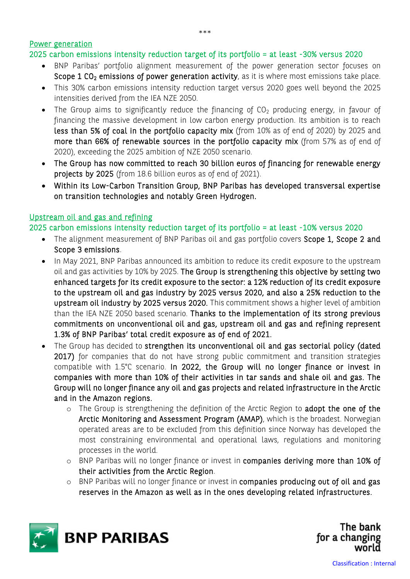Power generation

## 2025 carbon emissions intensity reduction target of its portfolio = at least -30% versus 2020

- BNP Paribas' portfolio alignment measurement of the power generation sector focuses on Scope 1 CO<sub>2</sub> emissions of power generation activity, as it is where most emissions take place.
- This 30% carbon emissions intensity reduction target versus 2020 goes well beyond the 2025 intensities derived from the IEA NZE 2050.
- The Group aims to significantly reduce the financing of  $CO<sub>2</sub>$  producing energy, in favour of financing the massive development in low carbon energy production. Its ambition is to reach less than 5% of coal in the portfolio capacity mix (from 10% as of end of 2020) by 2025 and more than 66% of renewable sources in the portfolio capacity mix (from 57% as of end of 2020), exceeding the 2025 ambition of NZE 2050 scenario.
- The Group has now committed to reach 30 billion euros of financing for renewable energy projects by 2025 (from 18.6 billion euros as of end of 2021).
- Within its Low-Carbon Transition Group, BNP Paribas has developed transversal expertise on transition technologies and notably Green Hydrogen.

## Upstream oil and gas and refining

2025 carbon emissions intensity reduction target of its portfolio = at least -10% versus 2020

- The alignment measurement of BNP Paribas oil and gas portfolio covers Scope 1, Scope 2 and Scope 3 emissions.
- In May 2021, BNP Paribas announced its ambition to reduce its credit exposure to the upstream oil and gas activities by 10% by 2025. The Group is strengthening this objective by setting two enhanced targets for its credit exposure to the sector: a 12% reduction of its credit exposure to the upstream oil and gas industry by 2025 versus 2020, and also a 25% reduction to the upstream oil industry by 2025 versus 2020. This commitment shows a higher level of ambition than the IEA NZE 2050 based scenario. Thanks to the implementation of its strong previous commitments on unconventional oil and gas, upstream oil and gas and refining represent 1.3% of BNP Paribas' total credit exposure as of end of 2021.
- The Group has decided to strengthen its unconventional oil and gas sectorial policy (dated 2017) for companies that do not have strong public commitment and transition strategies compatible with 1.5°C scenario. In 2022, the Group will no longer finance or invest in companies with more than 10% of their activities in tar sands and shale oil and gas. The Group will no longer finance any oil and gas projects and related infrastructure in the Arctic and in the Amazon regions.
	- o The Group is strengthening the definition of the Arctic Region to adopt the one of the Arctic Monitoring and Assessment Program (AMAP), which is the broadest. Norwegian operated areas are to be excluded from this definition since Norway has developed the most constraining environmental and operational laws, regulations and monitoring processes in the world.
	- o BNP Paribas will no longer finance or invest in companies deriving more than 10% of their activities from the Arctic Region.
	- o BNP Paribas will no longer finance or invest in companies producing out of oil and gas reserves in the Amazon as well as in the ones developing related infrastructures.



The bank for a changing world